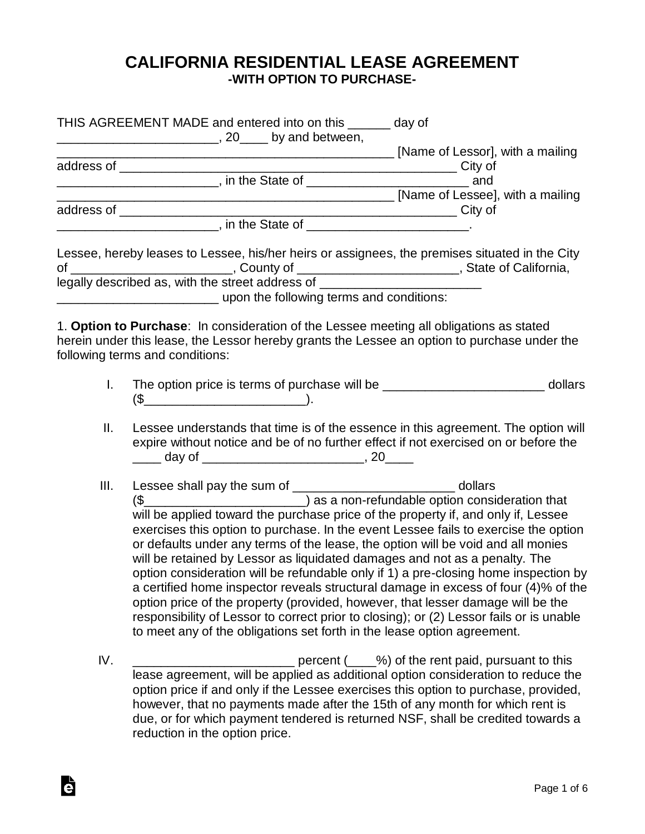## **CALIFORNIA RESIDENTIAL LEASE AGREEMENT -WITH OPTION TO PURCHASE-**

|              | THIS AGREEMENT MADE and entered into on this ______ day of                                                                                                                                                                                                                                                                                                                                                                                                                                                                                                                                                                                                                                                                                                                                                                                                                                                      |
|--------------|-----------------------------------------------------------------------------------------------------------------------------------------------------------------------------------------------------------------------------------------------------------------------------------------------------------------------------------------------------------------------------------------------------------------------------------------------------------------------------------------------------------------------------------------------------------------------------------------------------------------------------------------------------------------------------------------------------------------------------------------------------------------------------------------------------------------------------------------------------------------------------------------------------------------|
|              |                                                                                                                                                                                                                                                                                                                                                                                                                                                                                                                                                                                                                                                                                                                                                                                                                                                                                                                 |
|              | [Name of Lessee], with a mailing                                                                                                                                                                                                                                                                                                                                                                                                                                                                                                                                                                                                                                                                                                                                                                                                                                                                                |
|              |                                                                                                                                                                                                                                                                                                                                                                                                                                                                                                                                                                                                                                                                                                                                                                                                                                                                                                                 |
|              | <u>____________________________</u> , in the State of _________________________________                                                                                                                                                                                                                                                                                                                                                                                                                                                                                                                                                                                                                                                                                                                                                                                                                         |
|              | Lessee, hereby leases to Lessee, his/her heirs or assignees, the premises situated in the City<br>of ______________________________, County of ______________________________, State of California,<br>legally described as, with the street address of _______________________________                                                                                                                                                                                                                                                                                                                                                                                                                                                                                                                                                                                                                         |
|              |                                                                                                                                                                                                                                                                                                                                                                                                                                                                                                                                                                                                                                                                                                                                                                                                                                                                                                                 |
|              | 1. Option to Purchase: In consideration of the Lessee meeting all obligations as stated<br>herein under this lease, the Lessor hereby grants the Lessee an option to purchase under the<br>following terms and conditions:                                                                                                                                                                                                                                                                                                                                                                                                                                                                                                                                                                                                                                                                                      |
| $\mathbf{L}$ | $(\$\underline{\hspace{2.5mm}}\underline{\hspace{2.5mm}}\underline{\hspace{2.5mm}}\underline{\hspace{2.5mm}}\underline{\hspace{2.5mm}}\underline{\hspace{2.5mm}}\underline{\hspace{2.5mm}}\underline{\hspace{2.5mm}}\underline{\hspace{2.5mm}}\underline{\hspace{2.5mm}}\underline{\hspace{2.5mm}}\underline{\hspace{2.5mm}}\underline{\hspace{2.5mm}}\underline{\hspace{2.5mm}}\underline{\hspace{2.5mm}}\underline{\hspace{2.5mm}}\underline{\hspace{2.5mm}}\underline{\hspace{2.5mm}}\underline{\hspace{2.5mm}}\underline{\hspace{2.5mm$                                                                                                                                                                                                                                                                                                                                                                     |
| Ⅱ.           | Lessee understands that time is of the essence in this agreement. The option will<br>expire without notice and be of no further effect if not exercised on or before the<br>_____ day of _______________________________, 20_____                                                                                                                                                                                                                                                                                                                                                                                                                                                                                                                                                                                                                                                                               |
| III.         | Lessee shall pay the sum of ____________________________ dollars<br>$(\$$ $)$ as a non-refundable option consideration that<br>will be applied toward the purchase price of the property if, and only if, Lessee<br>exercises this option to purchase. In the event Lessee fails to exercise the option<br>or defaults under any terms of the lease, the option will be void and all monies<br>will be retained by Lessor as liquidated damages and not as a penalty. The<br>option consideration will be refundable only if 1) a pre-closing home inspection by<br>a certified home inspector reveals structural damage in excess of four (4)% of the<br>option price of the property (provided, however, that lesser damage will be the<br>responsibility of Lessor to correct prior to closing); or (2) Lessor fails or is unable<br>to meet any of the obligations set forth in the lease option agreement. |
| IV.          | percent (____%) of the rent paid, pursuant to this<br>lease agreement, will be applied as additional option consideration to reduce the<br>option price if and only if the Lessee exercises this option to purchase, provided,<br>however, that no payments made after the 15th of any month for which rent is<br>due, or for which payment tendered is returned NSF, shall be credited towards a<br>reduction in the option price.                                                                                                                                                                                                                                                                                                                                                                                                                                                                             |

à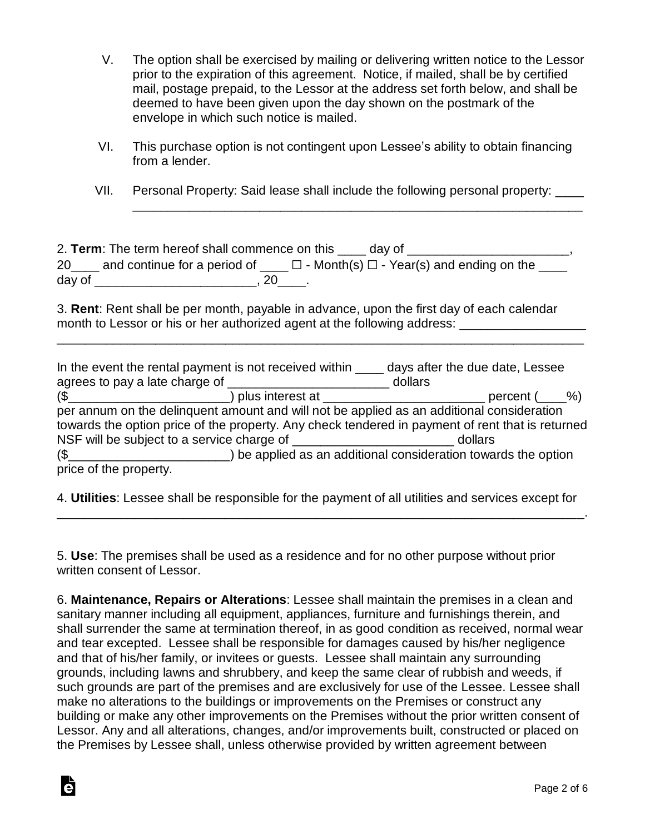- V. The option shall be exercised by mailing or delivering written notice to the Lessor prior to the expiration of this agreement. Notice, if mailed, shall be by certified mail, postage prepaid, to the Lessor at the address set forth below, and shall be deemed to have been given upon the day shown on the postmark of the envelope in which such notice is mailed.
- VI. This purchase option is not contingent upon Lessee's ability to obtain financing from a lender.
- VII. Personal Property: Said lease shall include the following personal property: \_\_\_\_

\_\_\_\_\_\_\_\_\_\_\_\_\_\_\_\_\_\_\_\_\_\_\_\_\_\_\_\_\_\_\_\_\_\_\_\_\_\_\_\_\_\_\_\_\_\_\_\_\_\_\_\_\_\_\_\_\_\_\_\_\_\_\_\_

|        | 2. Term: The term hereof shall commence on this<br>day of                                   |  |
|--------|---------------------------------------------------------------------------------------------|--|
|        | 20 and continue for a period of $\Box$ $\Box$ - Month(s) $\Box$ - Year(s) and ending on the |  |
| day of | - 20                                                                                        |  |

3. **Rent**: Rent shall be per month, payable in advance, upon the first day of each calendar month to Lessor or his or her authorized agent at the following address: \_\_\_\_\_\_\_\_\_\_\_\_\_

\_\_\_\_\_\_\_\_\_\_\_\_\_\_\_\_\_\_\_\_\_\_\_\_\_\_\_\_\_\_\_\_\_\_\_\_\_\_\_\_\_\_\_\_\_\_\_\_\_\_\_\_\_\_\_\_\_\_\_\_\_\_\_\_\_\_\_\_\_\_\_\_\_\_\_

| In the event the rental payment is not received within ______ days after the due date, Lessee    |                                                                |         |                    |  |
|--------------------------------------------------------------------------------------------------|----------------------------------------------------------------|---------|--------------------|--|
|                                                                                                  |                                                                | dollars |                    |  |
| $(\$$ $(\$$ $)$ plus interest at $\qquad$                                                        |                                                                |         | percent $($ $\% )$ |  |
| per annum on the delinquent amount and will not be applied as an additional consideration        |                                                                |         |                    |  |
| towards the option price of the property. Any check tendered in payment of rent that is returned |                                                                |         |                    |  |
|                                                                                                  |                                                                | dollars |                    |  |
| $\left(\frac{1}{2}\right)$                                                                       | ) be applied as an additional consideration towards the option |         |                    |  |
| price of the property.                                                                           |                                                                |         |                    |  |

4. **Utilities**: Lessee shall be responsible for the payment of all utilities and services except for \_\_\_\_\_\_\_\_\_\_\_\_\_\_\_\_\_\_\_\_\_\_\_\_\_\_\_\_\_\_\_\_\_\_\_\_\_\_\_\_\_\_\_\_\_\_\_\_\_\_\_\_\_\_\_\_\_\_\_\_\_\_\_\_\_\_\_\_\_\_\_\_\_\_\_.

5. **Use**: The premises shall be used as a residence and for no other purpose without prior written consent of Lessor.

6. **Maintenance, Repairs or Alterations**: Lessee shall maintain the premises in a clean and sanitary manner including all equipment, appliances, furniture and furnishings therein, and shall surrender the same at termination thereof, in as good condition as received, normal wear and tear excepted. Lessee shall be responsible for damages caused by his/her negligence and that of his/her family, or invitees or guests. Lessee shall maintain any surrounding grounds, including lawns and shrubbery, and keep the same clear of rubbish and weeds, if such grounds are part of the premises and are exclusively for use of the Lessee. Lessee shall make no alterations to the buildings or improvements on the Premises or construct any building or make any other improvements on the Premises without the prior written consent of Lessor. Any and all alterations, changes, and/or improvements built, constructed or placed on the Premises by Lessee shall, unless otherwise provided by written agreement between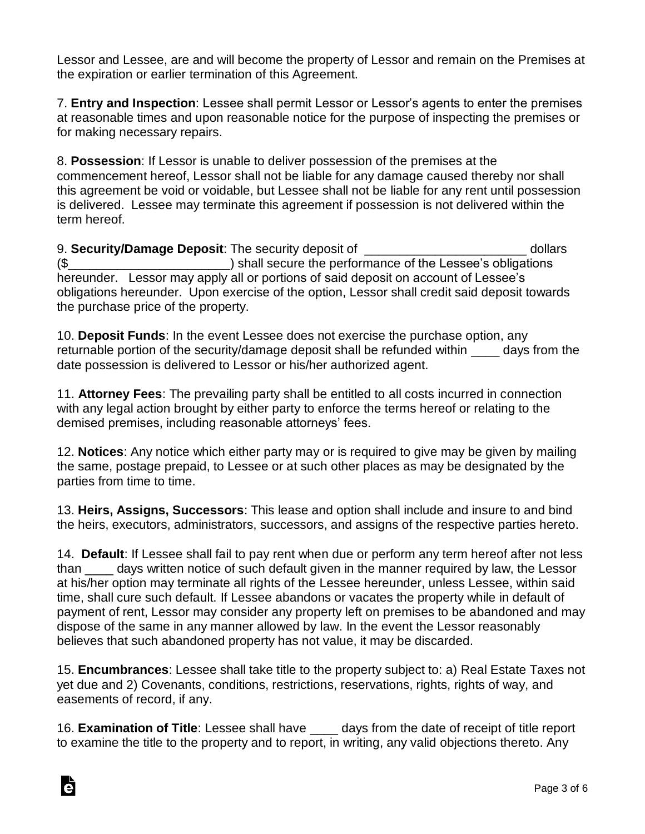Lessor and Lessee, are and will become the property of Lessor and remain on the Premises at the expiration or earlier termination of this Agreement.

7. **Entry and Inspection**: Lessee shall permit Lessor or Lessor's agents to enter the premises at reasonable times and upon reasonable notice for the purpose of inspecting the premises or for making necessary repairs.

8. **Possession**: If Lessor is unable to deliver possession of the premises at the commencement hereof, Lessor shall not be liable for any damage caused thereby nor shall this agreement be void or voidable, but Lessee shall not be liable for any rent until possession is delivered. Lessee may terminate this agreement if possession is not delivered within the term hereof.

9. **Security/Damage Deposit**: The security deposit of \_\_\_\_\_\_\_\_\_\_\_\_\_\_\_\_\_\_\_\_\_\_\_ dollars (\$\_\_\_\_\_\_\_\_\_\_\_\_\_\_\_\_\_\_\_\_\_\_\_) shall secure the performance of the Lessee's obligations hereunder. Lessor may apply all or portions of said deposit on account of Lessee's obligations hereunder. Upon exercise of the option, Lessor shall credit said deposit towards the purchase price of the property.

10. **Deposit Funds**: In the event Lessee does not exercise the purchase option, any returnable portion of the security/damage deposit shall be refunded within days from the date possession is delivered to Lessor or his/her authorized agent.

11. **Attorney Fees**: The prevailing party shall be entitled to all costs incurred in connection with any legal action brought by either party to enforce the terms hereof or relating to the demised premises, including reasonable attorneys' fees.

12. **Notices**: Any notice which either party may or is required to give may be given by mailing the same, postage prepaid, to Lessee or at such other places as may be designated by the parties from time to time.

13. **Heirs, Assigns, Successors**: This lease and option shall include and insure to and bind the heirs, executors, administrators, successors, and assigns of the respective parties hereto.

14. **Default**: If Lessee shall fail to pay rent when due or perform any term hereof after not less than days written notice of such default given in the manner required by law, the Lessor at his/her option may terminate all rights of the Lessee hereunder, unless Lessee, within said time, shall cure such default. If Lessee abandons or vacates the property while in default of payment of rent, Lessor may consider any property left on premises to be abandoned and may dispose of the same in any manner allowed by law. In the event the Lessor reasonably believes that such abandoned property has not value, it may be discarded.

15. **Encumbrances**: Lessee shall take title to the property subject to: a) Real Estate Taxes not yet due and 2) Covenants, conditions, restrictions, reservations, rights, rights of way, and easements of record, if any.

16. **Examination of Title**: Lessee shall have \_\_\_\_ days from the date of receipt of title report to examine the title to the property and to report, in writing, any valid objections thereto. Any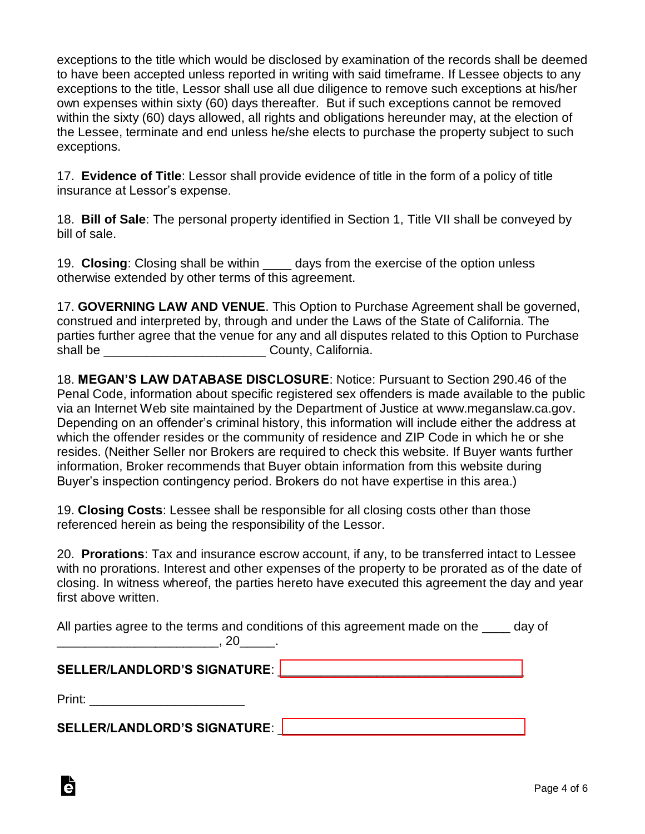exceptions to the title which would be disclosed by examination of the records shall be deemed to have been accepted unless reported in writing with said timeframe. If Lessee objects to any exceptions to the title, Lessor shall use all due diligence to remove such exceptions at his/her own expenses within sixty (60) days thereafter. But if such exceptions cannot be removed within the sixty (60) days allowed, all rights and obligations hereunder may, at the election of the Lessee, terminate and end unless he/she elects to purchase the property subject to such exceptions.

17. **Evidence of Title**: Lessor shall provide evidence of title in the form of a policy of title insurance at Lessor's expense.

18. **Bill of Sale**: The personal property identified in Section 1, Title VII shall be conveyed by bill of sale.

19. **Closing**: Closing shall be within \_\_\_\_ days from the exercise of the option unless otherwise extended by other terms of this agreement.

17. **GOVERNING LAW AND VENUE**. This Option to Purchase Agreement shall be governed, construed and interpreted by, through and under the Laws of the State of California. The parties further agree that the venue for any and all disputes related to this Option to Purchase shall be \_\_\_\_\_\_\_\_\_\_\_\_\_\_\_\_\_\_\_\_\_\_\_ County, California.

18. **MEGAN'S LAW DATABASE DISCLOSURE**: Notice: Pursuant to Section 290.46 of the Penal Code, information about specific registered sex offenders is made available to the public via an Internet Web site maintained by the Department of Justice at www.meganslaw.ca.gov. Depending on an offender's criminal history, this information will include either the address at which the offender resides or the community of residence and ZIP Code in which he or she resides. (Neither Seller nor Brokers are required to check this website. If Buyer wants further information, Broker recommends that Buyer obtain information from this website during Buyer's inspection contingency period. Brokers do not have expertise in this area.)

19. **Closing Costs**: Lessee shall be responsible for all closing costs other than those referenced herein as being the responsibility of the Lessor.

20. **Prorations**: Tax and insurance escrow account, if any, to be transferred intact to Lessee with no prorations. Interest and other expenses of the property to be prorated as of the date of closing. In witness whereof, the parties hereto have executed this agreement the day and year first above written.

All parties agree to the terms and conditions of this agreement made on the day of  $\sim$  . 20  $\sim$ 

## **SELLER/LANDLORD'S SIGNATURE**: [\\_\\_\\_\\_\\_\\_\\_\\_\\_\\_\\_\\_\\_\\_\\_\\_\\_\\_\\_\\_\\_\\_\\_\\_\\_\\_\\_\\_\\_\\_\\_\\_\\_\\_\\_](https:///esign.com)

Print: \_\_\_\_\_\_\_\_\_\_\_\_\_\_\_\_\_\_\_\_\_\_

**SELLER/LANDLORD'S SIGNATURE**: [\\_\\_\\_\\_\\_\\_\\_\\_\\_\\_\\_\\_\\_\\_\\_\\_\\_\\_\\_\\_\\_\\_\\_\\_\\_\\_\\_\\_\\_\\_\\_\\_\\_\\_\\_](https:///esign.com)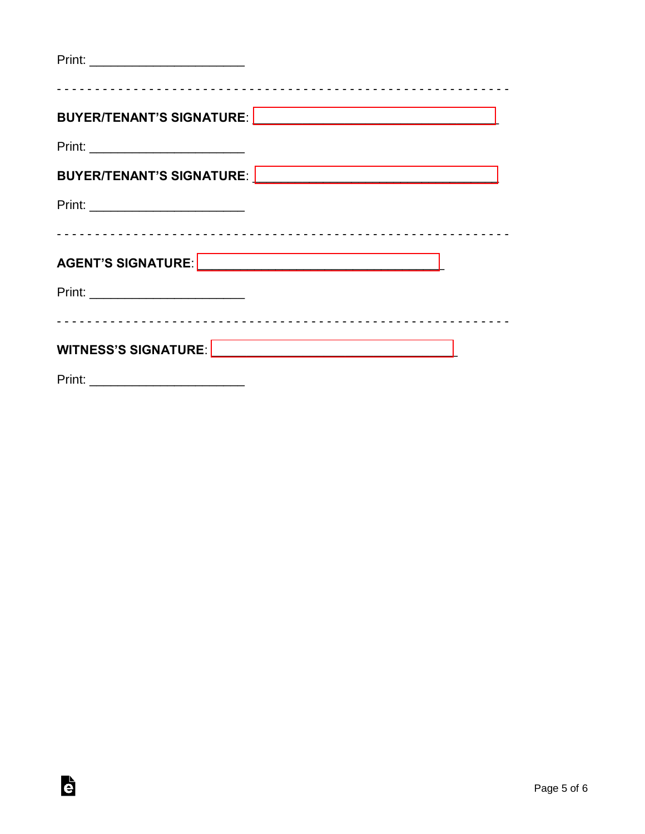| <u>Print: ___________________________</u> |  |
|-------------------------------------------|--|
|                                           |  |
| Print: ____________________________       |  |
|                                           |  |
|                                           |  |
|                                           |  |
|                                           |  |
|                                           |  |
|                                           |  |
|                                           |  |
| Print:                                    |  |